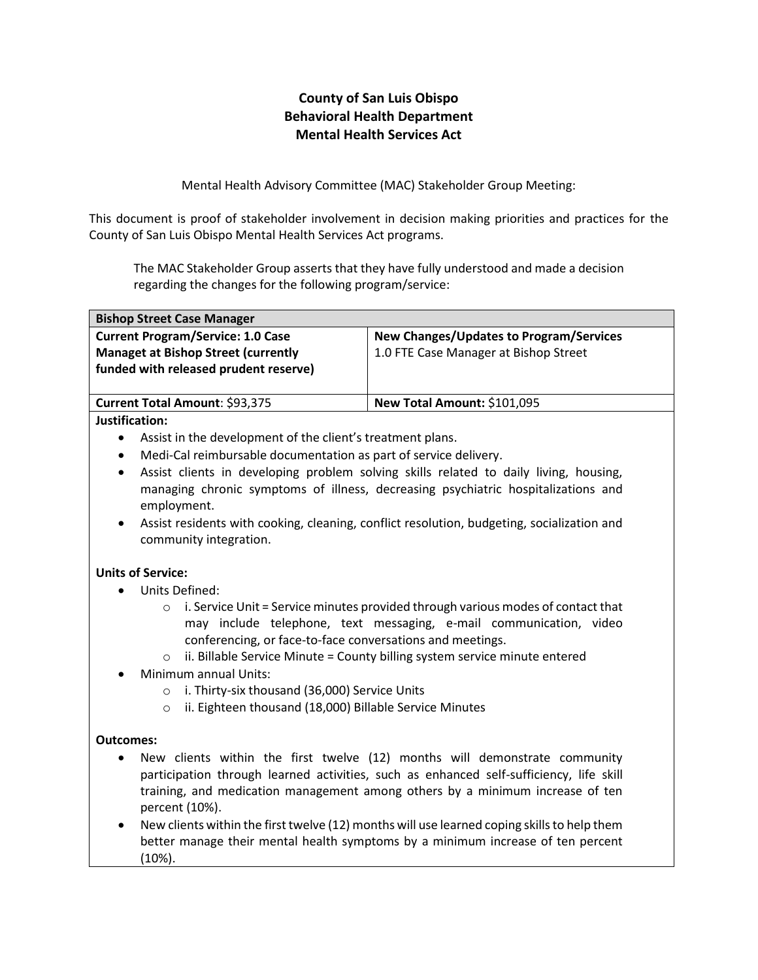## **County of San Luis Obispo Behavioral Health Department Mental Health Services Act**

Mental Health Advisory Committee (MAC) Stakeholder Group Meeting:

This document is proof of stakeholder involvement in decision making priorities and practices for the County of San Luis Obispo Mental Health Services Act programs.

The MAC Stakeholder Group asserts that they have fully understood and made a decision regarding the changes for the following program/service:

| <b>Bishop Street Case Manager</b>                                                                                               |                                                                                         |
|---------------------------------------------------------------------------------------------------------------------------------|-----------------------------------------------------------------------------------------|
| <b>Current Program/Service: 1.0 Case</b><br><b>Managet at Bishop Street (currently</b><br>funded with released prudent reserve) | <b>New Changes/Updates to Program/Services</b><br>1.0 FTE Case Manager at Bishop Street |
| Current Total Amount: \$93,375                                                                                                  | New Total Amount: \$101,095                                                             |
| Justification:                                                                                                                  |                                                                                         |

- Assist in the development of the client's treatment plans.
- Medi-Cal reimbursable documentation as part of service delivery.
- Assist clients in developing problem solving skills related to daily living, housing, managing chronic symptoms of illness, decreasing psychiatric hospitalizations and employment.
- Assist residents with cooking, cleaning, conflict resolution, budgeting, socialization and community integration.

## **Units of Service:**

- Units Defined:
	- o i. Service Unit = Service minutes provided through various modes of contact that may include telephone, text messaging, e-mail communication, video conferencing, or face-to-face conversations and meetings.
	- $\circ$  ii. Billable Service Minute = County billing system service minute entered
- Minimum annual Units:
	- o i. Thirty-six thousand (36,000) Service Units
	- o ii. Eighteen thousand (18,000) Billable Service Minutes

## **Outcomes:**

- New clients within the first twelve (12) months will demonstrate community participation through learned activities, such as enhanced self-sufficiency, life skill training, and medication management among others by a minimum increase of ten percent (10%).
- New clients within the first twelve (12) months will use learned coping skills to help them better manage their mental health symptoms by a minimum increase of ten percent (10%).